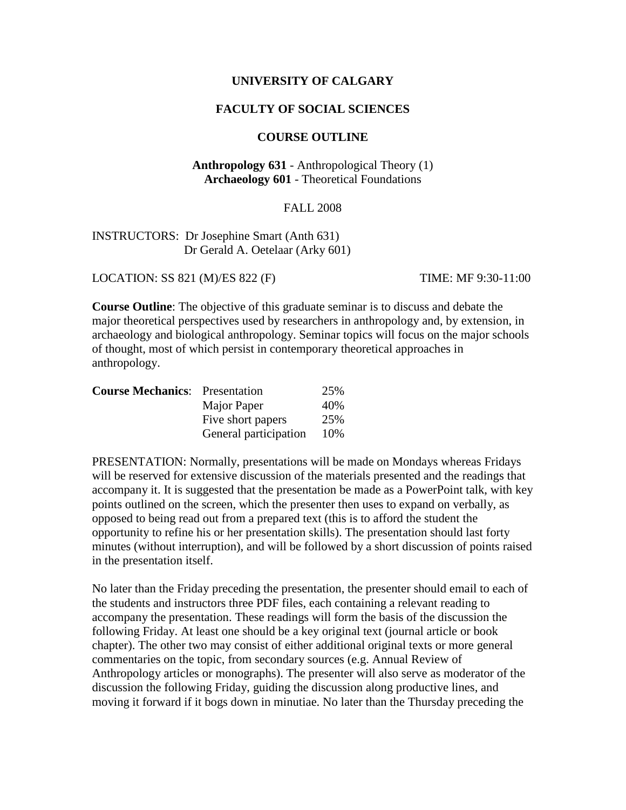## **UNIVERSITY OF CALGARY**

### **FACULTY OF SOCIAL SCIENCES**

#### **COURSE OUTLINE**

# **Anthropology 631** - Anthropological Theory (1) **Archaeology 601** - Theoretical Foundations

## FALL 2008

# INSTRUCTORS: Dr Josephine Smart (Anth 631) Dr Gerald A. Oetelaar (Arky 601)

LOCATION: SS 821 (M)/ES 822 (F) TIME: MF 9:30-11:00

**Course Outline**: The objective of this graduate seminar is to discuss and debate the major theoretical perspectives used by researchers in anthropology and, by extension, in archaeology and biological anthropology. Seminar topics will focus on the major schools of thought, most of which persist in contemporary theoretical approaches in anthropology.

| <b>Course Mechanics:</b> Presentation |                       | 25% |
|---------------------------------------|-----------------------|-----|
|                                       | Major Paper           | 40% |
|                                       | Five short papers     | 25% |
|                                       | General participation | 10% |

PRESENTATION: Normally, presentations will be made on Mondays whereas Fridays will be reserved for extensive discussion of the materials presented and the readings that accompany it. It is suggested that the presentation be made as a PowerPoint talk, with key points outlined on the screen, which the presenter then uses to expand on verbally, as opposed to being read out from a prepared text (this is to afford the student the opportunity to refine his or her presentation skills). The presentation should last forty minutes (without interruption), and will be followed by a short discussion of points raised in the presentation itself.

No later than the Friday preceding the presentation, the presenter should email to each of the students and instructors three PDF files, each containing a relevant reading to accompany the presentation. These readings will form the basis of the discussion the following Friday. At least one should be a key original text (journal article or book chapter). The other two may consist of either additional original texts or more general commentaries on the topic, from secondary sources (e.g. Annual Review of Anthropology articles or monographs). The presenter will also serve as moderator of the discussion the following Friday, guiding the discussion along productive lines, and moving it forward if it bogs down in minutiae. No later than the Thursday preceding the